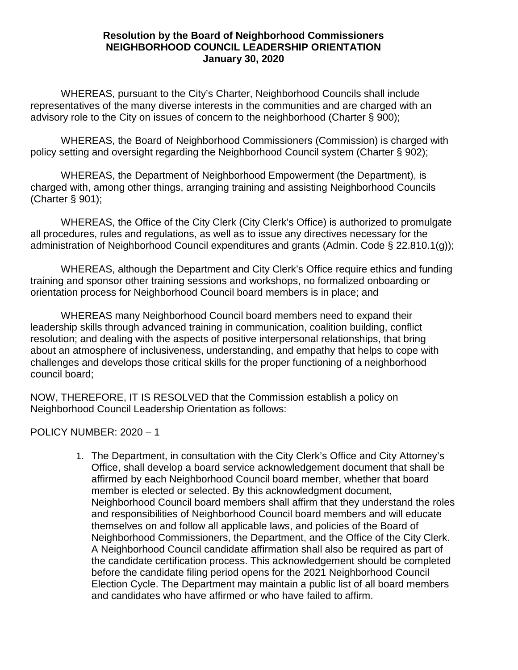## **Resolution by the Board of Neighborhood Commissioners NEIGHBORHOOD COUNCIL LEADERSHIP ORIENTATION January 30, 2020**

WHEREAS, pursuant to the City's Charter, Neighborhood Councils shall include representatives of the many diverse interests in the communities and are charged with an advisory role to the City on issues of concern to the neighborhood (Charter § 900);

WHEREAS, the Board of Neighborhood Commissioners (Commission) is charged with policy setting and oversight regarding the Neighborhood Council system (Charter § 902);

WHEREAS, the Department of Neighborhood Empowerment (the Department), is charged with, among other things, arranging training and assisting Neighborhood Councils (Charter § 901);

WHEREAS, the Office of the City Clerk (City Clerk's Office) is authorized to promulgate all procedures, rules and regulations, as well as to issue any directives necessary for the administration of Neighborhood Council expenditures and grants (Admin. Code § 22.810.1(g));

WHEREAS, although the Department and City Clerk's Office require ethics and funding training and sponsor other training sessions and workshops, no formalized onboarding or orientation process for Neighborhood Council board members is in place; and

WHEREAS many Neighborhood Council board members need to expand their leadership skills through advanced training in communication, coalition building, conflict resolution; and dealing with the aspects of positive interpersonal relationships, that bring about an atmosphere of inclusiveness, understanding, and empathy that helps to cope with challenges and develops those critical skills for the proper functioning of a neighborhood council board;

NOW, THEREFORE, IT IS RESOLVED that the Commission establish a policy on Neighborhood Council Leadership Orientation as follows:

POLICY NUMBER: 2020 – 1

1. The Department, in consultation with the City Clerk's Office and City Attorney's Office, shall develop a board service acknowledgement document that shall be affirmed by each Neighborhood Council board member, whether that board member is elected or selected. By this acknowledgment document, Neighborhood Council board members shall affirm that they understand the roles and responsibilities of Neighborhood Council board members and will educate themselves on and follow all applicable laws, and policies of the Board of Neighborhood Commissioners, the Department, and the Office of the City Clerk. A Neighborhood Council candidate affirmation shall also be required as part of the candidate certification process. This acknowledgement should be completed before the candidate filing period opens for the 2021 Neighborhood Council Election Cycle. The Department may maintain a public list of all board members and candidates who have affirmed or who have failed to affirm.